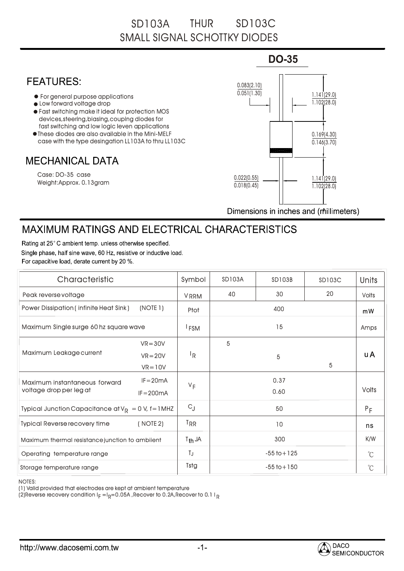## SD103A THUR SD103C SMALL SIGNAL SCHOTTKY DIODES

## **DO-35 FEATURES:** 0.083(2.10)  $0.051(1.30)$ For general purpose applications • Low forward voltage drop Fast switching make it ideal for protection MOS devices,steering,biasing,couping diodes for for fast switching and low logic leven applications These diodes are also available in the Mini-MELF case with the type desingation LL103A to thru LL103C **MECHANICAL DATA** Case: DO-35 case 0.022(0.55) Weight:Approx. 0.13gram  $0.018(0.45)$

1.141(29.0) 1.102(28.0) 1.141(29.0) 1.102(28.0) 0.169(4.30)  $0.146(3.70)$ 

Dimensions in inches and (millimeters)

## **MAXIMUM RATINGS AND ELECTRICAL CHARACTERISTICS**

Rating at 25°C ambient temp, unless otherwise specified. Single phase, half sine wave, 60 Hz, resistive or inductive load. For capacitive load, derate current by 20 %.

| Characteristic                                            |              | Symbol                    | <b>SD103A</b>   | <b>SD103B</b> | SD103C               | <b>Units</b> |
|-----------------------------------------------------------|--------------|---------------------------|-----------------|---------------|----------------------|--------------|
| Peak reverse voltage                                      |              | <b>VRRM</b>               | 40              | 30            | 20                   | <b>Volts</b> |
| (NOTE 1)<br><b>Power Dissipation (infinite Heat Sink)</b> |              | Ptot                      | 400             |               |                      | mW           |
| Maximum Single surge 60 hz square wave                    |              | <sup>I</sup> FSM          | 15              |               |                      | Amps         |
| Maximum Leakage current                                   | $VR = 30V$   |                           | 5               |               |                      |              |
|                                                           | $VR = 20V$   | $\mathsf{I}_{\mathsf{R}}$ |                 | 5             |                      | <b>uA</b>    |
|                                                           | $VR = 10V$   |                           |                 |               | 5                    |              |
| Maximum instantaneous forward<br>voltage drop per leg at  | $IF = 20mA$  | $V_F$                     |                 | 0.37          |                      |              |
|                                                           | $IF = 200mA$ |                           |                 | 0.60          |                      | <b>Volts</b> |
| Typical Junction Capacitance at $V_R = 0 V$ , f=1MHZ      |              | $C_{J}$                   | 50              |               | $P_F$                |              |
| <b>Typical Reverse recovery time</b>                      | (NOTE 2)     | T <sub>RR</sub>           |                 | 10            |                      | ns           |
| Maximum thermal resistance junction to ambilent           |              | $T_{th}$ JA               | 300             |               | K/W                  |              |
| Operating temperature range                               |              | TJ                        | $-55$ to $+125$ |               | $\mathrm{C}^{\circ}$ |              |
| Storage temperature range                                 |              | <b>Tstg</b>               | $-55$ to $+150$ |               | $\mathrm{C}^{\circ}$ |              |

NOTES:

(1) Valid provided that electrodes are kept at ambient temperature

(2)Reverse recovery condition  $\mathsf{l}_{\mathsf{F}}\!=\!\mathsf{l}_{\mathsf{R}}\!\!=\!0.05$ A ,Recover to 0.2A,Recover to 0.1 I  $_\mathsf{R}$